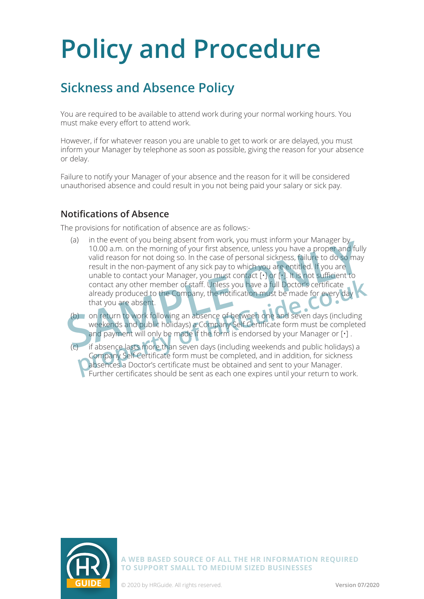### **Sickness and Absence Policy**

You are required to be available to attend work during your normal working hours. You must make every effort to attend work.

However, if for whatever reason you are unable to get to work or are delayed, you must inform your Manager by telephone as soon as possible, giving the reason for your absence or delay.

Failure to notify your Manager of your absence and the reason for it will be considered unauthorised absence and could result in you not being paid your salary or sick pay.

#### **Notifications of Absence**

The provisions for notification of absence are as follows:-

(a) in the event of you being absent from work, you must inform your Manager by 10.00 a.m. on the morning of your first absence, unless you have a proper and fully valid reason for not doing so. In the case of personal sickness, failure to do so may result in the non-payment of any sick pay to which you are entitled. If you are unable to contact your Manager, you must contact [·] or [·]. It is not sufficient to contact any other member of staff. Unless you have a full Doctor's certificate already produced to the Company, the notification must be made for every day that you are absent. 10.00 a.m. on the morning of your first absence, unless you have a proper and full<br>valid reason for not doing so. In the case of personal sickness, failure to do so may<br>result in the non-payment of any sick pay to which yo

(b) on return to work following an absence of between one and seven days (including weekends and public holidays) a Company Self Certificate form must be completed and payment will only be made if the form is endorsed by your Manager or [•] .

(c) if absence lasts more than seven days (including weekends and public holidays) a Company Self Certificate form must be completed, and in addition, for sickness absences a Doctor's certificate must be obtained and sent to your Manager. Further certificates should be sent as each one expires until your return to work. Function of the member of staff. Unless you have a full Doctor's certificate<br>already produced to the Company, the notification must be made for every day<br>that you are absent.<br>On return to work following an absence of betwe

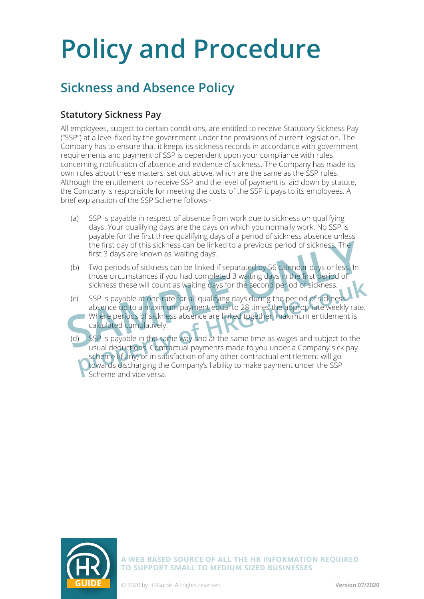## **Sickness and Absence Policy**

### **Statutory Sickness Pay**

All employees, subject to certain conditions, are entitled to receive Statutory Sickness Pay ("SSP") at a level fixed by the government under the provisions of current legislation. The Company has to ensure that it keeps its sickness records in accordance with government requirements and payment of SSP is dependent upon your compliance with rules concerning notification of absence and evidence of sickness. The Company has made its own rules about these matters, set out above, which are the same as the SSP rules. Although the entitlement to receive SSP and the level of payment is laid down by statute, the Company is responsible for meeting the costs of the SSP it pays to its employees. A brief explanation of the SSP Scheme follows:-

- (a) SSP is payable in respect of absence from work due to sickness on qualifying days. Your qualifying days are the days on which you normally work. No SSP is payable for the first three qualifying days of a period of sickness absence unless the first day of this sickness can be linked to a previous period of sickness. The first 3 days are known as 'waiting days'.
- (b) Two periods of sickness can be linked if separated by 56 calendar days or less. In those circumstances if you had completed 3 waiting days in the first period of sickness these will count as waiting days for the second period of sickness.
- (c) SSP is payable at one rate for all qualifying days during the period of sickness absence up to a maximum payment equal to 28 times the appropriate weekly rate. Where periods of sickness absence are linked together, maximum entitlement is calculated cumulatively. the first day of this sickness can be linked to a previous period of sickness. The<br>first 3 days are known as 'waiting days'.<br>(b) Two periods of sickness can be linked if separated by 56 calendar days or less. In<br>those circ
	- (d) SSP is payable in the same way and at the same time as wages and subject to the usual deductions. Contractual payments made to you under a Company sick pay scheme (if any) or in satisfaction of any other contractual entitlement will go towards discharging the Company's liability to make payment under the SSP Scheme and vice versa. sickness these will count as waiting days for the second period of sickness.<br>
	SSP is payable at one rate for all qualifying days during the period of sickness.<br>
	absence up to a maximum payment equal to 28 times the appropr

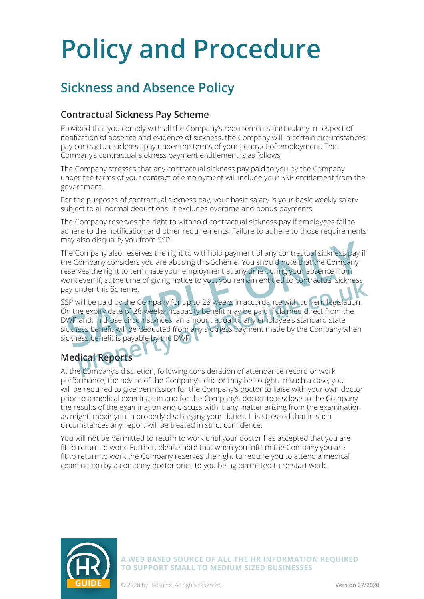## **Sickness and Absence Policy**

#### **Contractual Sickness Pay Scheme**

Provided that you comply with all the Company's requirements particularly in respect of notification of absence and evidence of sickness, the Company will in certain circumstances pay contractual sickness pay under the terms of your contract of employment. The Company's contractual sickness payment entitlement is as follows:

The Company stresses that any contractual sickness pay paid to you by the Company under the terms of your contract of employment will include your SSP entitlement from the government.

For the purposes of contractual sickness pay, your basic salary is your basic weekly salary subject to all normal deductions. It excludes overtime and bonus payments.

The Company reserves the right to withhold contractual sickness pay if employees fail to adhere to the notification and other requirements. Failure to adhere to those requirements may also disqualify you from SSP.

The Company also reserves the right to withhold payment of any contractual sickness pay if the Company considers you are abusing this Scheme. You should note that the Company reserves the right to terminate your employment at any time during your absence from work even if, at the time of giving notice to you, you remain entitled to contractual sickness pay under this Scheme. The Company also reserves the right to withhold payment of any contractual sickness pay<br>be Company considers you are abusing this Scheme. You should note that the Company<br>seerves the right to terminate your employment at a

SSP will be paid by the Company for up to 28 weeks in accordance with current legislation. On the expiry date of 28 weeks incapacity benefit may be paid if claimed direct from the DWP and, in those circumstances, an amount equal to any employee's standard state sickness benefit will be deducted from any sickness payment made by the Company when sickness benefit is payable by the DWP. even it, at the time of giving notice to you, you remain entitled to contractual sickness<br>inder this Scheme.<br>will be paid by the Company for up to 28 weeks in accordance with current legislation.<br>ne expiry date of 28 weeks

### **Medical Reports**

At the Company's discretion, following consideration of attendance record or work performance, the advice of the Company's doctor may be sought. In such a case, you will be required to give permission for the Company's doctor to liaise with your own doctor prior to a medical examination and for the Company's doctor to disclose to the Company the results of the examination and discuss with it any matter arising from the examination as might impair you in properly discharging your duties. It is stressed that in such circumstances any report will be treated in strict confidence.

You will not be permitted to return to work until your doctor has accepted that you are fit to return to work. Further, please note that when you inform the Company you are fit to return to work the Company reserves the right to require you to attend a medical examination by a company doctor prior to you being permitted to re-start work.